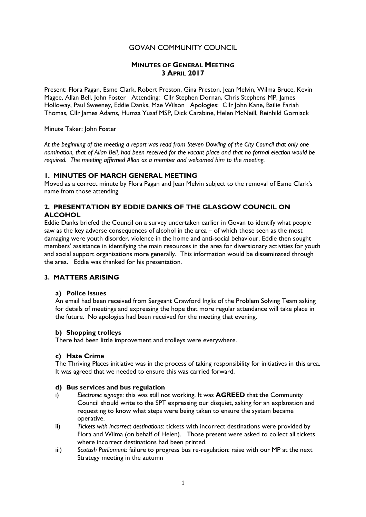# GOVAN COMMUNITY COUNCIL

# MINUTES OF GENERAL MEETING 3 APRIL 2017

Present: Flora Pagan, Esme Clark, Robert Preston, Gina Preston, Jean Melvin, Wilma Bruce, Kevin Magee, Allan Bell, John Foster Attending: Cllr Stephen Dornan, Chris Stephens MP, James Holloway, Paul Sweeney, Eddie Danks, Mae Wilson Apologies: Cllr John Kane, Bailie Fariah Thomas, Cllr James Adams, Humza Yusaf MSP, Dick Carabine, Helen McNeill, Reinhild Gorniack

Minute Taker: John Foster

At the beginning of the meeting a report was read from Steven Dowling of the City Council that only one nomination, that of Allan Bell, had been received for the vacant place and that no formal election would be required. The meeting affirmed Allan as a member and welcomed him to the meeting.

### 1. MINUTES OF MARCH GENERAL MEETING

Moved as a correct minute by Flora Pagan and Jean Melvin subject to the removal of Esme Clark's name from those attending.

# 2. PRESENTATION BY EDDIE DANKS OF THE GLASGOW COUNCIL ON ALCOHOL

Eddie Danks briefed the Council on a survey undertaken earlier in Govan to identify what people saw as the key adverse consequences of alcohol in the area – of which those seen as the most damaging were youth disorder, violence in the home and anti-social behaviour. Eddie then sought members' assistance in identifying the main resources in the area for diversionary activities for youth and social support organisations more generally. This information would be disseminated through the area. Eddie was thanked for his presentation.

# 3. MATTERS ARISING

### a) Police Issues

An email had been received from Sergeant Crawford Inglis of the Problem Solving Team asking for details of meetings and expressing the hope that more regular attendance will take place in the future. No apologies had been received for the meeting that evening.

### b) Shopping trolleys

There had been little improvement and trolleys were everywhere.

### c) Hate Crime

The Thriving Places initiative was in the process of taking responsibility for initiatives in this area. It was agreed that we needed to ensure this was carried forward.

### d) Bus services and bus regulation

- i) Electronic signage: this was still not working. It was **AGREED** that the Community Council should write to the SPT expressing our disquiet, asking for an explanation and requesting to know what steps were being taken to ensure the system became operative.
- ii) Tickets with incorrect destinations: tickets with incorrect destinations were provided by Flora and Wilma (on behalf of Helen). Those present were asked to collect all tickets where incorrect destinations had been printed.
- iii) Scottish Parliament: failure to progress bus re-regulation: raise with our MP at the next Strategy meeting in the autumn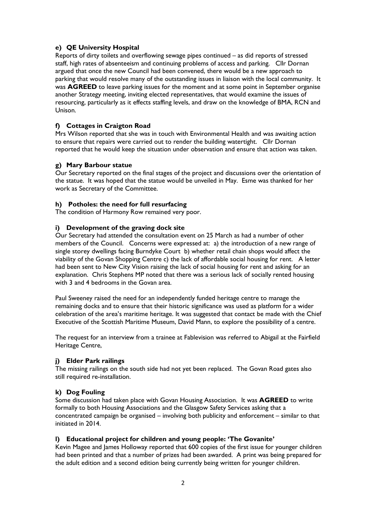# e) QE University Hospital

Reports of dirty toilets and overflowing sewage pipes continued – as did reports of stressed staff, high rates of absenteeism and continuing problems of access and parking. Cllr Dornan argued that once the new Council had been convened, there would be a new approach to parking that would resolve many of the outstanding issues in liaison with the local community. It was **AGREED** to leave parking issues for the moment and at some point in September organise another Strategy meeting, inviting elected representatives, that would examine the issues of resourcing, particularly as it effects staffing levels, and draw on the knowledge of BMA, RCN and Unison.

# f) Cottages in Craigton Road

Mrs Wilson reported that she was in touch with Environmental Health and was awaiting action to ensure that repairs were carried out to render the building watertight. Cllr Dornan reported that he would keep the situation under observation and ensure that action was taken.

# g) Mary Barbour statue

Our Secretary reported on the final stages of the project and discussions over the orientation of the statue. It was hoped that the statue would be unveiled in May. Esme was thanked for her work as Secretary of the Committee.

### h) Potholes: the need for full resurfacing

The condition of Harmony Row remained very poor.

### i) Development of the graving dock site

Our Secretary had attended the consultation event on 25 March as had a number of other members of the Council. Concerns were expressed at: a) the introduction of a new range of single storey dwellings facing Burndyke Court b) whether retail chain shops would affect the viability of the Govan Shopping Centre c) the lack of affordable social housing for rent. A letter had been sent to New City Vision raising the lack of social housing for rent and asking for an explanation. Chris Stephens MP noted that there was a serious lack of socially rented housing with 3 and 4 bedrooms in the Govan area.

Paul Sweeney raised the need for an independently funded heritage centre to manage the remaining docks and to ensure that their historic significance was used as platform for a wider celebration of the area's maritime heritage. It was suggested that contact be made with the Chief Executive of the Scottish Maritime Museum, David Mann, to explore the possibility of a centre.

The request for an interview from a trainee at Fablevision was referred to Abigail at the Fairfield Heritage Centre,

# j) Elder Park railings

The missing railings on the south side had not yet been replaced. The Govan Road gates also still required re-installation.

# k) Dog Fouling

Some discussion had taken place with Govan Housing Association. It was AGREED to write formally to both Housing Associations and the Glasgow Safety Services asking that a concentrated campaign be organised – involving both publicity and enforcement – similar to that initiated in 2014.

# l) Educational project for children and young people: 'The Govanite'

Kevin Magee and James Holloway reported that 600 copies of the first issue for younger children had been printed and that a number of prizes had been awarded. A print was being prepared for the adult edition and a second edition being currently being written for younger children.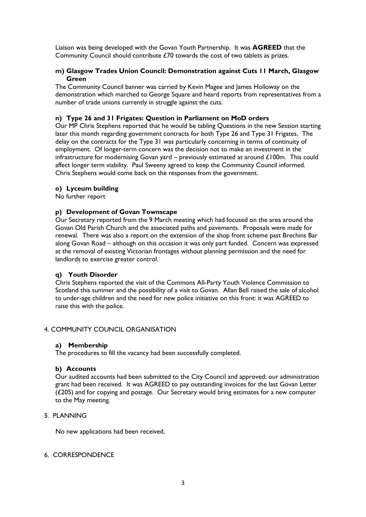Liaison was being developed with the Govan Youth Partnership. It was AGREED that the Community Council should contribute £70 towards the cost of two tablets as prizes.

### m) Glasgow Trades Union Council: Demonstration against Cuts 11 March, Glasgow Green

The Community Council banner was carried by Kevin Magee and James Holloway on the demonstration which marched to George Square and heard reports from representatives from a number of trade unions currently in struggle against the cuts.

### n) Type 26 and 31 Frigates: Question in Parliament on MoD orders

Our MP Chris Stephens reported that he would be tabling Questions in the new Session starting later this month regarding government contracts for both Type 26 and Type 31 Frigates. The delay on the contracts for the Type 31 was particularly concerning in terms of continuity of employment. Of longer-term concern was the decision not to make an investment in the infrastructure for modernising Govan yard – previously estimated at around £100m. This could affect longer term viability. Paul Sweeny agreed to keep the Community Council informed. Chris Stephens would come back on the responses from the government.

### o) Lyceum building

No further report

### p) Development of Govan Townscape

Our Secretary reported from the 9 March meeting which had focused on the area around the Govan Old Parish Church and the associated paths and pavements. Proposals were made for renewal. There was also a report on the extension of the shop front scheme past Brechins Bar along Govan Road – although on this occasion it was only part funded. Concern was expressed at the removal of existing Victorian frontages without planning permission and the need for landlords to exercise greater control.

### q) Youth Disorder

Chris Stephens reported the visit of the Commons All-Party Youth Violence Commission to Scotland this summer and the possibility of a visit to Govan. Allan Bell raised the sale of alcohol to under-age children and the need for new police initiative on this front: it was AGREED to raise this with the police.

### 4. COMMUNITY COUNCIL ORGANISATION

### a) Membership

The procedures to fill the vacancy had been successfully completed.

#### b) Accounts

Our audited accounts had been submitted to the City Council and approved: our administration grant had been received. It was AGREED to pay outstanding invoices for the last Govan Letter (£205) and for copying and postage. Our Secretary would bring estimates for a new computer to the May meeting.

#### 5. PLANNING

No new applications had been received.

#### 6. CORRESPONDENCE